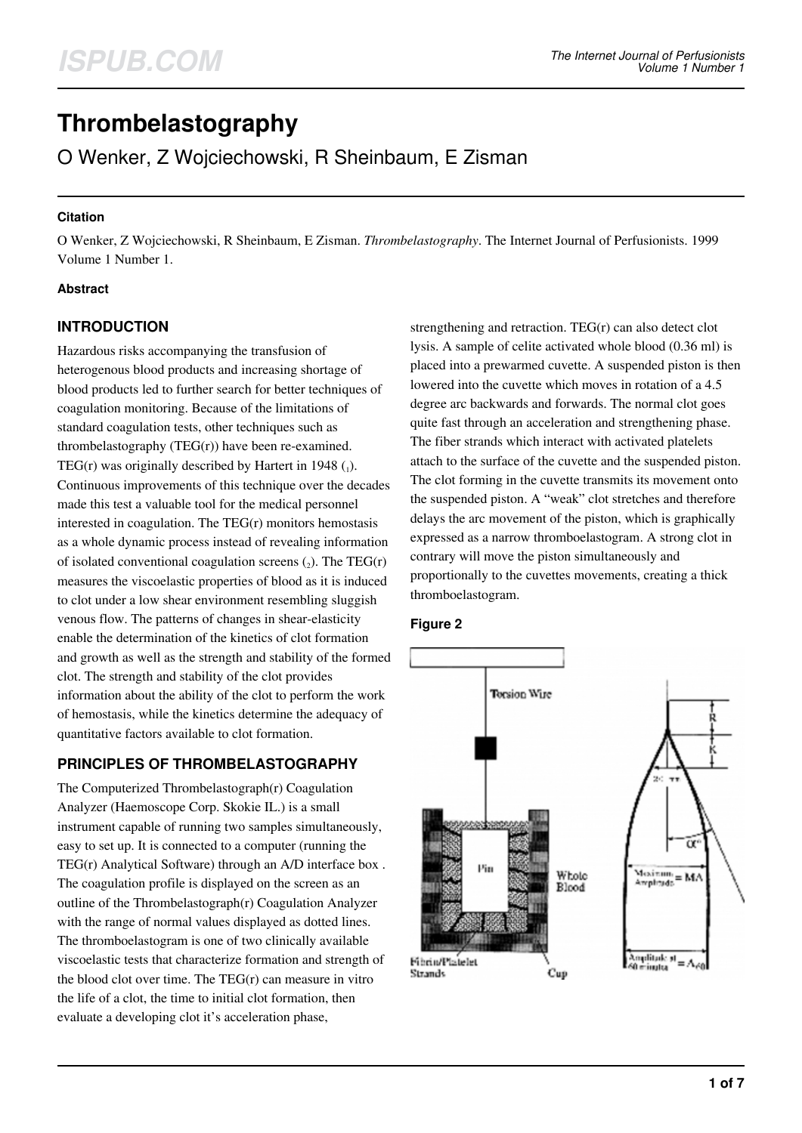# **Thrombelastography**

O Wenker, Z Wojciechowski, R Sheinbaum, E Zisman

#### **Citation**

O Wenker, Z Wojciechowski, R Sheinbaum, E Zisman. *Thrombelastography*. The Internet Journal of Perfusionists. 1999 Volume 1 Number 1.

#### **Abstract**

# **INTRODUCTION**

Hazardous risks accompanying the transfusion of heterogenous blood products and increasing shortage of blood products led to further search for better techniques of coagulation monitoring. Because of the limitations of standard coagulation tests, other techniques such as thrombelastography (TEG(r)) have been re-examined. TEG(r) was originally described by Hartert in 1948  $_{(1)}$ . Continuous improvements of this technique over the decades made this test a valuable tool for the medical personnel interested in coagulation. The TEG(r) monitors hemostasis as a whole dynamic process instead of revealing information of isolated conventional coagulation screens  $(_{2})$ . The TEG(r) measures the viscoelastic properties of blood as it is induced to clot under a low shear environment resembling sluggish venous flow. The patterns of changes in shear-elasticity enable the determination of the kinetics of clot formation and growth as well as the strength and stability of the formed clot. The strength and stability of the clot provides information about the ability of the clot to perform the work of hemostasis, while the kinetics determine the adequacy of quantitative factors available to clot formation.

# **PRINCIPLES OF THROMBELASTOGRAPHY**

The Computerized Thrombelastograph(r) Coagulation Analyzer (Haemoscope Corp. Skokie IL.) is a small instrument capable of running two samples simultaneously, easy to set up. It is connected to a computer (running the TEG(r) Analytical Software) through an A/D interface box . The coagulation profile is displayed on the screen as an outline of the Thrombelastograph(r) Coagulation Analyzer with the range of normal values displayed as dotted lines. The thromboelastogram is one of two clinically available viscoelastic tests that characterize formation and strength of the blood clot over time. The TEG(r) can measure in vitro the life of a clot, the time to initial clot formation, then evaluate a developing clot it's acceleration phase,

strengthening and retraction. TEG(r) can also detect clot lysis. A sample of celite activated whole blood (0.36 ml) is placed into a prewarmed cuvette. A suspended piston is then lowered into the cuvette which moves in rotation of a 4.5 degree arc backwards and forwards. The normal clot goes quite fast through an acceleration and strengthening phase. The fiber strands which interact with activated platelets attach to the surface of the cuvette and the suspended piston. The clot forming in the cuvette transmits its movement onto the suspended piston. A "weak" clot stretches and therefore delays the arc movement of the piston, which is graphically expressed as a narrow thromboelastogram. A strong clot in contrary will move the piston simultaneously and proportionally to the cuvettes movements, creating a thick thromboelastogram.



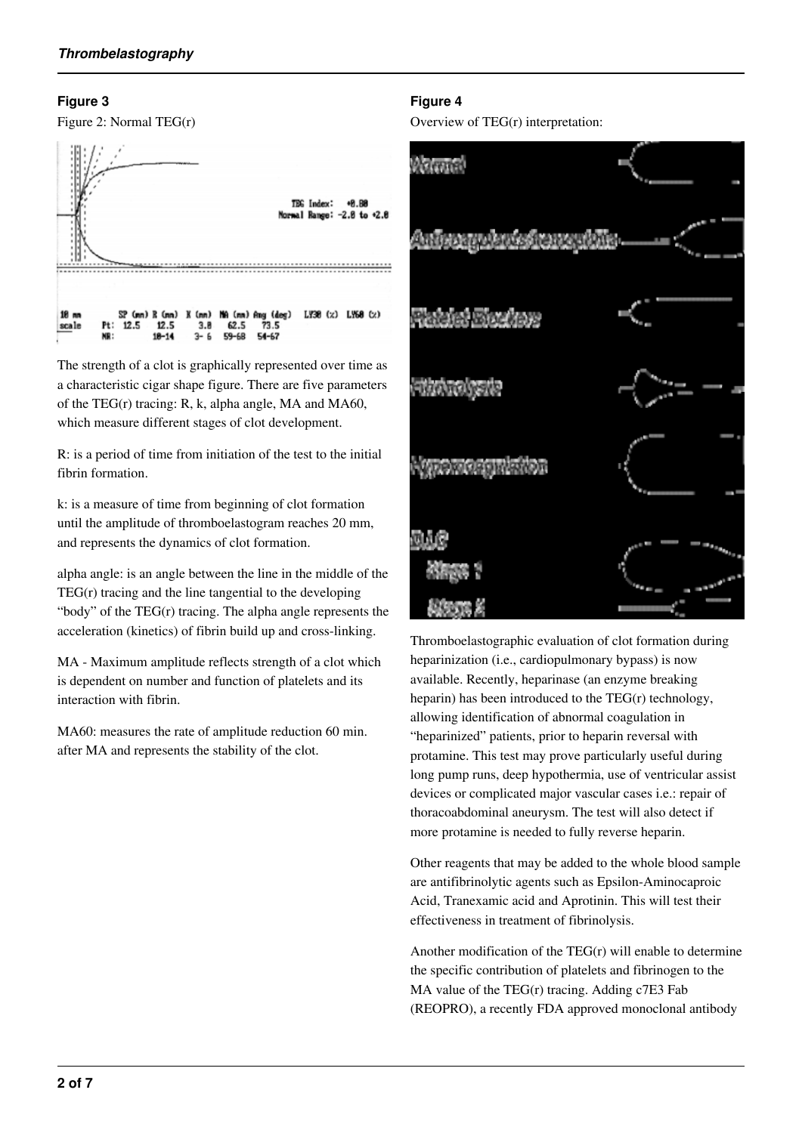#### **Figure 3**



The strength of a clot is graphically represented over time as a characteristic cigar shape figure. There are five parameters of the TEG(r) tracing: R, k, alpha angle, MA and MA60, which measure different stages of clot development.

R: is a period of time from initiation of the test to the initial fibrin formation.

k: is a measure of time from beginning of clot formation until the amplitude of thromboelastogram reaches 20 mm, and represents the dynamics of clot formation.

alpha angle: is an angle between the line in the middle of the  $TEG(r)$  tracing and the line tangential to the developing "body" of the TEG(r) tracing. The alpha angle represents the acceleration (kinetics) of fibrin build up and cross-linking.

MA - Maximum amplitude reflects strength of a clot which is dependent on number and function of platelets and its interaction with fibrin.

MA60: measures the rate of amplitude reduction 60 min. after MA and represents the stability of the clot.

# **Figure 4**

Overview of TEG(r) interpretation:



Thromboelastographic evaluation of clot formation during heparinization (i.e., cardiopulmonary bypass) is now available. Recently, heparinase (an enzyme breaking heparin) has been introduced to the TEG(r) technology, allowing identification of abnormal coagulation in "heparinized" patients, prior to heparin reversal with protamine. This test may prove particularly useful during long pump runs, deep hypothermia, use of ventricular assist devices or complicated major vascular cases i.e.: repair of thoracoabdominal aneurysm. The test will also detect if more protamine is needed to fully reverse heparin.

Other reagents that may be added to the whole blood sample are antifibrinolytic agents such as Epsilon-Aminocaproic Acid, Tranexamic acid and Aprotinin. This will test their effectiveness in treatment of fibrinolysis.

Another modification of the TEG(r) will enable to determine the specific contribution of platelets and fibrinogen to the MA value of the TEG(r) tracing. Adding c7E3 Fab (REOPRO), a recently FDA approved monoclonal antibody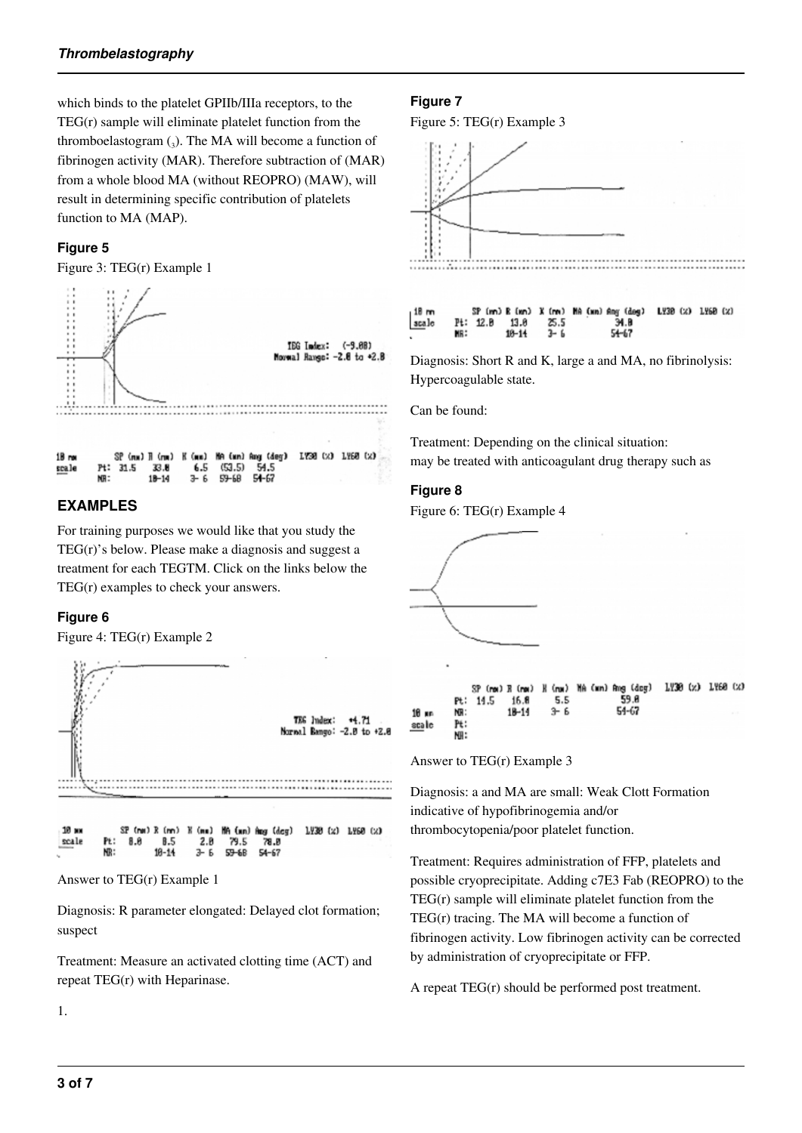which binds to the platelet GPIIb/IIIa receptors, to the TEG(r) sample will eliminate platelet function from the thromboelastogram  $\left($ <sub>3</sub> $\right)$ . The MA will become a function of fibrinogen activity (MAR). Therefore subtraction of (MAR) from a whole blood MA (without REOPRO) (MAW), will result in determining specific contribution of platelets function to MA (MAP).

# **Figure 5**

Figure 3: TEG(r) Example 1



# **EXAMPLES**

For training purposes we would like that you study the TEG(r)'s below. Please make a diagnosis and suggest a treatment for each TEGTM. Click on the links below the TEG(r) examples to check your answers.

# **Figure 6**

Figure 4: TEG(r) Example 2



Answer to TEG(r) Example 1

Diagnosis: R parameter elongated: Delayed clot formation; suspect

Treatment: Measure an activated clotting time (ACT) and repeat TEG(r) with Heparinase.

#### **Figure 7**

Figure 5: TEG(r) Example 3



Diagnosis: Short R and K, large a and MA, no fibrinolysis: Hypercoagulable state.

34 R

 $54 - 67$ 

 $\frac{25.5}{3-6}$ 

13 R

 $18 - 14$ 

Can be found:

 $p_{t}$ :

MR:

 $12.B$ 

scale

Treatment: Depending on the clinical situation: may be treated with anticoagulant drug therapy such as

#### **Figure 8**

Figure 6: TEG(r) Example 4



Answer to TEG(r) Example 3

Diagnosis: a and MA are small: Weak Clott Formation indicative of hypofibrinogemia and/or thrombocytopenia/poor platelet function.

Treatment: Requires administration of FFP, platelets and possible cryoprecipitate. Adding c7E3 Fab (REOPRO) to the  $TEG(r)$  sample will eliminate platelet function from the TEG(r) tracing. The MA will become a function of fibrinogen activity. Low fibrinogen activity can be corrected by administration of cryoprecipitate or FFP.

A repeat TEG(r) should be performed post treatment.

1.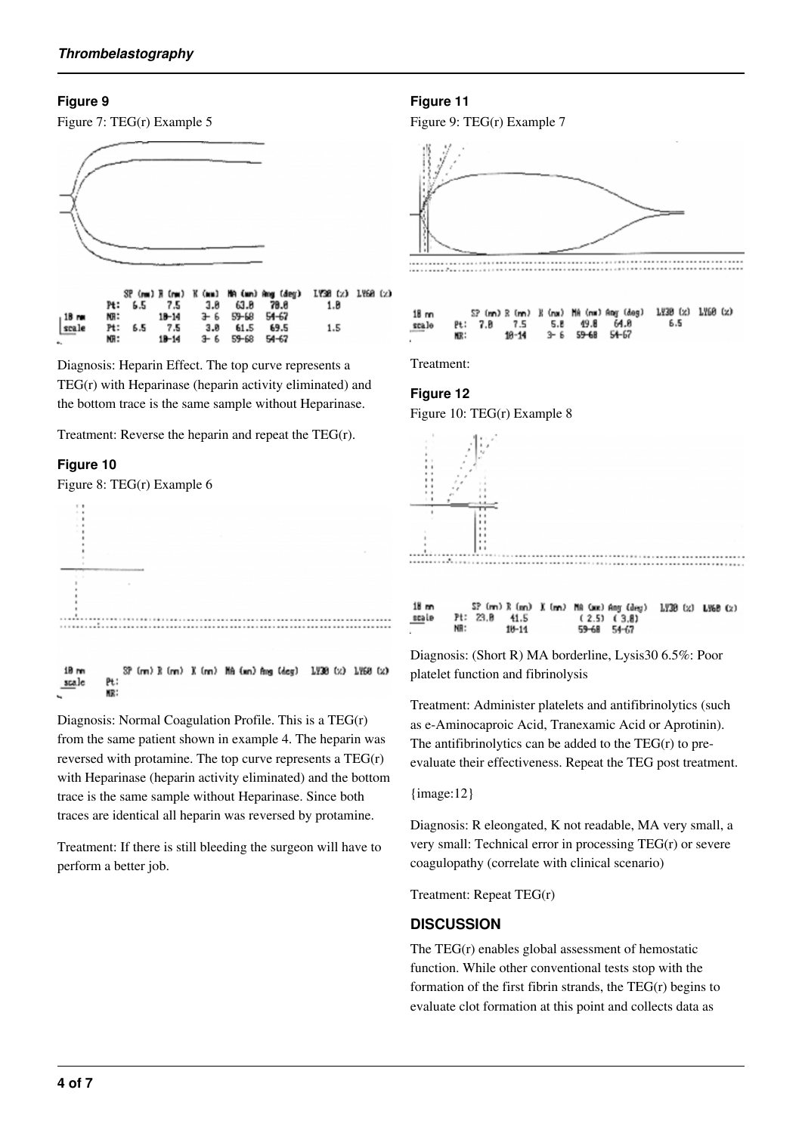#### **Figure 9**





Diagnosis: Heparin Effect. The top curve represents a TEG(r) with Heparinase (heparin activity eliminated) and the bottom trace is the same sample without Heparinase.

Treatment: Reverse the heparin and repeat the TEG(r).

#### **Figure 10**

Figure 8: TEG(r) Example 6



Diagnosis: Normal Coagulation Profile. This is a TEG(r) from the same patient shown in example 4. The heparin was reversed with protamine. The top curve represents a TEG(r) with Heparinase (heparin activity eliminated) and the bottom trace is the same sample without Heparinase. Since both traces are identical all heparin was reversed by protamine.

Treatment: If there is still bleeding the surgeon will have to perform a better job.

#### **Figure 11**

Figure 9: TEG(r) Example 7



Treatment:

#### **Figure 12**

Figure 10: TEG(r) Example 8



scale  $P+$  $23.B$ 41.5  $(2.5)$   $(3.8)$ NR:  $10 - 11$ 59-68  $54 - 67$ 

Diagnosis: (Short R) MA borderline, Lysis30 6.5%: Poor platelet function and fibrinolysis

Treatment: Administer platelets and antifibrinolytics (such as e-Aminocaproic Acid, Tranexamic Acid or Aprotinin). The antifibrinolytics can be added to the  $TEG(r)$  to preevaluate their effectiveness. Repeat the TEG post treatment.

#### {image:12}

Diagnosis: R eleongated, K not readable, MA very small, a very small: Technical error in processing TEG(r) or severe coagulopathy (correlate with clinical scenario)

Treatment: Repeat TEG(r)

#### **DISCUSSION**

The TEG(r) enables global assessment of hemostatic function. While other conventional tests stop with the formation of the first fibrin strands, the TEG(r) begins to evaluate clot formation at this point and collects data as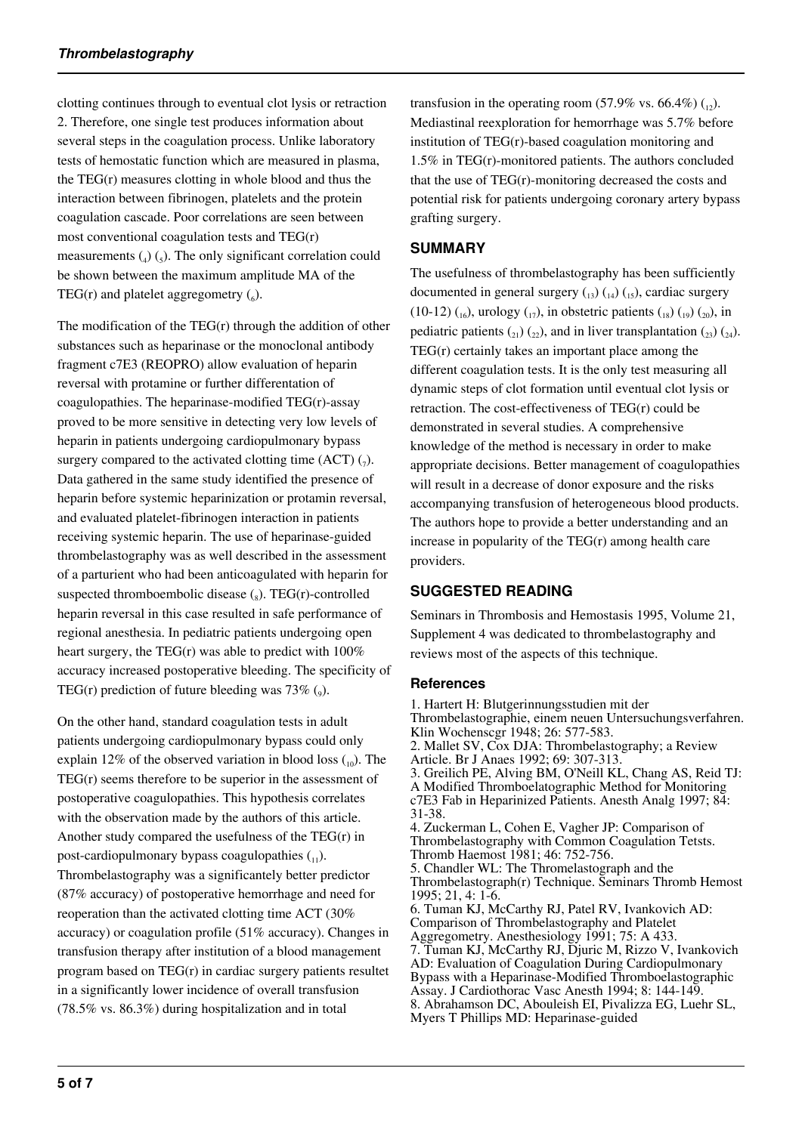clotting continues through to eventual clot lysis or retraction 2. Therefore, one single test produces information about several steps in the coagulation process. Unlike laboratory tests of hemostatic function which are measured in plasma, the TEG(r) measures clotting in whole blood and thus the interaction between fibrinogen, platelets and the protein coagulation cascade. Poor correlations are seen between most conventional coagulation tests and TEG(r) measurements  $\left(_{4}\right)$   $\left(_{5}\right)$ . The only significant correlation could be shown between the maximum amplitude MA of the TEG(r) and platelet aggregometry  $(_6)$ .

The modification of the  $TEG(r)$  through the addition of other substances such as heparinase or the monoclonal antibody fragment c7E3 (REOPRO) allow evaluation of heparin reversal with protamine or further differentation of coagulopathies. The heparinase-modified TEG(r)-assay proved to be more sensitive in detecting very low levels of heparin in patients undergoing cardiopulmonary bypass surgery compared to the activated clotting time  $(ACT)$   $(7)$ . Data gathered in the same study identified the presence of heparin before systemic heparinization or protamin reversal, and evaluated platelet-fibrinogen interaction in patients receiving systemic heparin. The use of heparinase-guided thrombelastography was as well described in the assessment of a parturient who had been anticoagulated with heparin for suspected thromboembolic disease  $\binom{8}{8}$ . TEG(r)-controlled heparin reversal in this case resulted in safe performance of regional anesthesia. In pediatric patients undergoing open heart surgery, the TEG(r) was able to predict with  $100\%$ accuracy increased postoperative bleeding. The specificity of TEG(r) prediction of future bleeding was  $73\%$  (<sub>9</sub>).

On the other hand, standard coagulation tests in adult patients undergoing cardiopulmonary bypass could only explain 12% of the observed variation in blood loss  $\binom{10}{10}$ . The  $TEG(r)$  seems therefore to be superior in the assessment of postoperative coagulopathies. This hypothesis correlates with the observation made by the authors of this article. Another study compared the usefulness of the TEG(r) in post-cardiopulmonary bypass coagulopathies  $_{11}$ ). Thrombelastography was a significantely better predictor (87% accuracy) of postoperative hemorrhage and need for reoperation than the activated clotting time ACT (30% accuracy) or coagulation profile (51% accuracy). Changes in transfusion therapy after institution of a blood management program based on TEG(r) in cardiac surgery patients resultet in a significantly lower incidence of overall transfusion (78.5% vs. 86.3%) during hospitalization and in total

transfusion in the operating room (57.9% vs. 66.4%)  $\binom{n}{12}$ . Mediastinal reexploration for hemorrhage was 5.7% before institution of TEG(r)-based coagulation monitoring and 1.5% in TEG(r)-monitored patients. The authors concluded that the use of TEG(r)-monitoring decreased the costs and potential risk for patients undergoing coronary artery bypass grafting surgery.

# **SUMMARY**

The usefulness of thrombelastography has been sufficiently documented in general surgery  $_{13}$ )  $_{14}$ )  $_{15}$ ), cardiac surgery (10-12)  $_{16}$ ), urology  $_{17}$ ), in obstetric patients  $_{18}$ )  $_{19}$ )  $_{20}$ ), in pediatric patients  $\binom{21}{22}$ , and in liver transplantation  $\binom{23}{24}$ . TEG(r) certainly takes an important place among the different coagulation tests. It is the only test measuring all dynamic steps of clot formation until eventual clot lysis or retraction. The cost-effectiveness of TEG(r) could be demonstrated in several studies. A comprehensive knowledge of the method is necessary in order to make appropriate decisions. Better management of coagulopathies will result in a decrease of donor exposure and the risks accompanying transfusion of heterogeneous blood products. The authors hope to provide a better understanding and an increase in popularity of the TEG(r) among health care providers.

# **SUGGESTED READING**

Seminars in Thrombosis and Hemostasis 1995, Volume 21, Supplement 4 was dedicated to thrombelastography and reviews most of the aspects of this technique.

#### **References**

1. Hartert H: Blutgerinnungsstudien mit der Thrombelastographie, einem neuen Untersuchungsverfahren. Klin Wochenscgr 1948; 26: 577-583. 2. Mallet SV, Cox DJA: Thrombelastography; a Review Article. Br J Anaes 1992; 69: 307-313. 3. Greilich PE, Alving BM, O'Neill KL, Chang AS, Reid TJ: A Modified Thromboelatographic Method for Monitoring c7E3 Fab in Heparinized Patients. Anesth Analg 1997; 84: 31-38. 4. Zuckerman L, Cohen E, Vagher JP: Comparison of Thrombelastography with Common Coagulation Tetsts. Thromb Haemost 1981; 46: 752-756. 5. Chandler WL: The Thromelastograph and the Thrombelastograph(r) Technique. Seminars Thromb Hemost 1995; 21, 4: 1-6. 6. Tuman KJ, McCarthy RJ, Patel RV, Ivankovich AD: Comparison of Thrombelastography and Platelet Aggregometry. Anesthesiology 1991; 75: A 433. 7. Tuman KJ, McCarthy RJ, Djuric M, Rizzo V, Ivankovich AD: Evaluation of Coagulation During Cardiopulmonary Bypass with a Heparinase-Modified Thromboelastographic Assay. J Cardiothorac Vasc Anesth 1994; 8: 144-149. 8. Abrahamson DC, Abouleish EI, Pivalizza EG, Luehr SL, Myers T Phillips MD: Heparinase-guided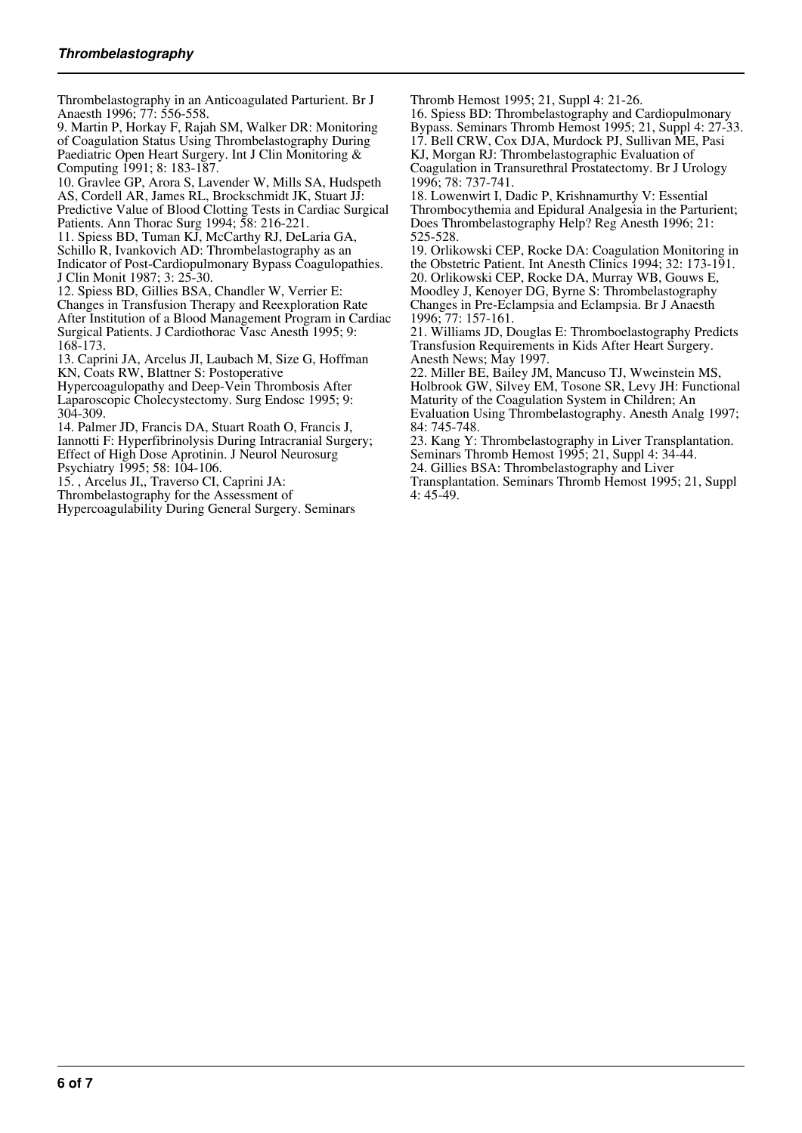Thrombelastography in an Anticoagulated Parturient. Br J Anaesth 1996; 77: 556-558.

9. Martin P, Horkay F, Rajah SM, Walker DR: Monitoring of Coagulation Status Using Thrombelastography During Paediatric Open Heart Surgery. Int J Clin Monitoring & Computing 1991; 8: 183-187.

10. Gravlee GP, Arora S, Lavender W, Mills SA, Hudspeth AS, Cordell AR, James RL, Brockschmidt JK, Stuart JJ: Predictive Value of Blood Clotting Tests in Cardiac Surgical Patients. Ann Thorac Surg 1994; 58: 216-221.

11. Spiess BD, Tuman KJ, McCarthy RJ, DeLaria GA, Schillo R, Ivankovich AD: Thrombelastography as an Indicator of Post-Cardiopulmonary Bypass Coagulopathies. J Clin Monit 1987; 3: 25-30.

12. Spiess BD, Gillies BSA, Chandler W, Verrier E: Changes in Transfusion Therapy and Reexploration Rate After Institution of a Blood Management Program in Cardiac Surgical Patients. J Cardiothorac Vasc Anesth 1995; 9: 168-173.

13. Caprini JA, Arcelus JI, Laubach M, Size G, Hoffman KN, Coats RW, Blattner S: Postoperative

Hypercoagulopathy and Deep-Vein Thrombosis After Laparoscopic Cholecystectomy. Surg Endosc 1995; 9: 304-309.

14. Palmer JD, Francis DA, Stuart Roath O, Francis J, Iannotti F: Hyperfibrinolysis During Intracranial Surgery; Effect of High Dose Aprotinin. J Neurol Neurosurg Psychiatry 1995; 58: 104-106.

15. , Arcelus JI,, Traverso CI, Caprini JA:

Thrombelastography for the Assessment of

Hypercoagulability During General Surgery. Seminars

Thromb Hemost 1995; 21, Suppl 4: 21-26.

16. Spiess BD: Thrombelastography and Cardiopulmonary Bypass. Seminars Thromb Hemost 1995; 21, Suppl 4: 27-33. 17. Bell CRW, Cox DJA, Murdock PJ, Sullivan ME, Pasi KJ, Morgan RJ: Thrombelastographic Evaluation of Coagulation in Transurethral Prostatectomy. Br J Urology 1996; 78: 737-741.

18. Lowenwirt I, Dadic P, Krishnamurthy V: Essential Thrombocythemia and Epidural Analgesia in the Parturient; Does Thrombelastography Help? Reg Anesth 1996; 21: 525-528.

19. Orlikowski CEP, Rocke DA: Coagulation Monitoring in the Obstetric Patient. Int Anesth Clinics 1994; 32: 173-191. 20. Orlikowski CEP, Rocke DA, Murray WB, Gouws E, Moodley J, Kenoyer DG, Byrne S: Thrombelastography Changes in Pre-Eclampsia and Eclampsia. Br J Anaesth 1996; 77: 157-161.

21. Williams JD, Douglas E: Thromboelastography Predicts Transfusion Requirements in Kids After Heart Surgery. Anesth News; May 1997.

22. Miller BE, Bailey JM, Mancuso TJ, Wweinstein MS, Holbrook GW, Silvey EM, Tosone SR, Levy JH: Functional Maturity of the Coagulation System in Children; An

Evaluation Using Thrombelastography. Anesth Analg 1997; 84: 745-748.

23. Kang Y: Thrombelastography in Liver Transplantation. Seminars Thromb Hemost 1995; 21, Suppl 4: 34-44.

24. Gillies BSA: Thrombelastography and Liver

Transplantation. Seminars Thromb Hemost 1995; 21, Suppl 4: 45-49.